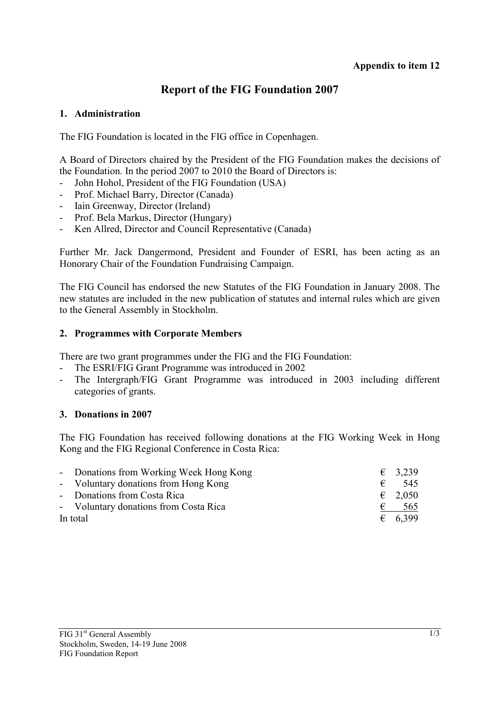### **Report of the FIG Foundation 2007**

#### **1. Administration**

The FIG Foundation is located in the FIG office in Copenhagen.

A Board of Directors chaired by the President of the FIG Foundation makes the decisions of the Foundation. In the period 2007 to 2010 the Board of Directors is:

- John Hohol, President of the FIG Foundation (USA)
- Prof. Michael Barry, Director (Canada)
- Iain Greenway, Director (Ireland)
- Prof. Bela Markus, Director (Hungary)
- Ken Allred, Director and Council Representative (Canada)

Further Mr. Jack Dangermond, President and Founder of ESRI, has been acting as an Honorary Chair of the Foundation Fundraising Campaign.

The FIG Council has endorsed the new Statutes of the FIG Foundation in January 2008. The new statutes are included in the new publication of statutes and internal rules which are given to the General Assembly in Stockholm.

#### **2. Programmes with Corporate Members**

There are two grant programmes under the FIG and the FIG Foundation:

- The ESRI/FIG Grant Programme was introduced in 2002
- The Intergraph/FIG Grant Programme was introduced in 2003 including different categories of grants.

#### **3. Donations in 2007**

The FIG Foundation has received following donations at the FIG Working Week in Hong Kong and the FIG Regional Conference in Costa Rica:

|          | - Donations from Working Week Hong Kong |   | $\epsilon$ 3.239 |
|----------|-----------------------------------------|---|------------------|
|          | - Voluntary donations from Hong Kong    | € | - 545            |
|          | - Donations from Costa Rica             |   | $\epsilon$ 2,050 |
|          | - Voluntary donations from Costa Rica   | € | 565              |
| In total |                                         |   | $\epsilon$ 6.399 |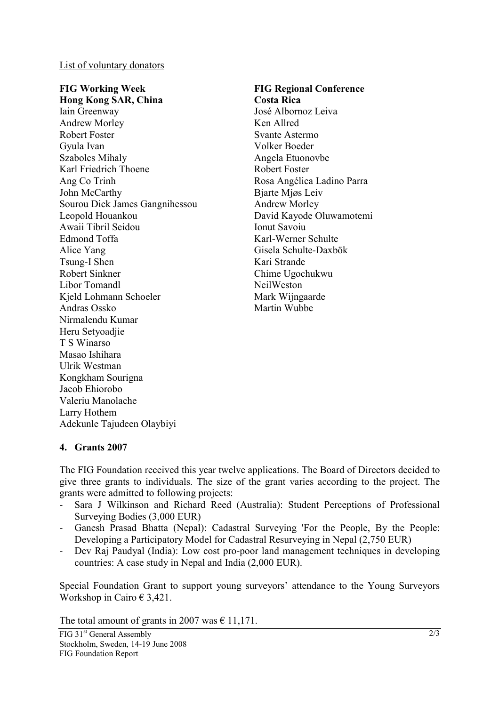List of voluntary donators

#### **FIG Working Week Hong Kong SAR, China**

Iain Greenway Andrew Morley Robert Foster Gyula Ivan Szabolcs Mihaly Karl Friedrich Thoene Ang Co Trinh John McCarthy Sourou Dick James Gangnihessou Leopold Houankou Awaii Tibril Seidou Edmond Toffa Alice Yang Tsung-I Shen Robert Sinkner Libor Tomandl Kjeld Lohmann Schoeler Andras Ossko Nirmalendu Kumar Heru Setyoadjie T S Winarso Masao Ishihara Ulrik Westman Kongkham Sourigna Jacob Ehiorobo Valeriu Manolache Larry Hothem Adekunle Tajudeen Olaybiyi

### **FIG Regional Conference**

**Costa Rica** José Albornoz Leiva Ken Allred Svante Astermo Volker Boeder Angela Etuonovbe Robert Foster Rosa Angélica Ladino Parra Bjarte Mjøs Leiv Andrew Morley David Kayode Oluwamotemi Ionut Savoiu Karl-Werner Schulte Gisela Schulte-Daxbök Kari Strande Chime Ugochukwu NeilWeston Mark Wijngaarde Martin Wubbe

#### **4. Grants 2007**

The FIG Foundation received this year twelve applications. The Board of Directors decided to give three grants to individuals. The size of the grant varies according to the project. The grants were admitted to following projects:

- Sara J Wilkinson and Richard Reed (Australia): Student Perceptions of Professional Surveying Bodies (3,000 EUR)
- Ganesh Prasad Bhatta (Nepal): Cadastral Surveying 'For the People, By the People: Developing a Participatory Model for Cadastral Resurveying in Nepal (2,750 EUR)
- Dev Raj Paudyal (India): Low cost pro-poor land management techniques in developing countries: A case study in Nepal and India (2,000 EUR).

Special Foundation Grant to support young surveyors' attendance to the Young Surveyors Workshop in Cairo € 3,421.

The total amount of grants in 2007 was  $\epsilon$  11,171.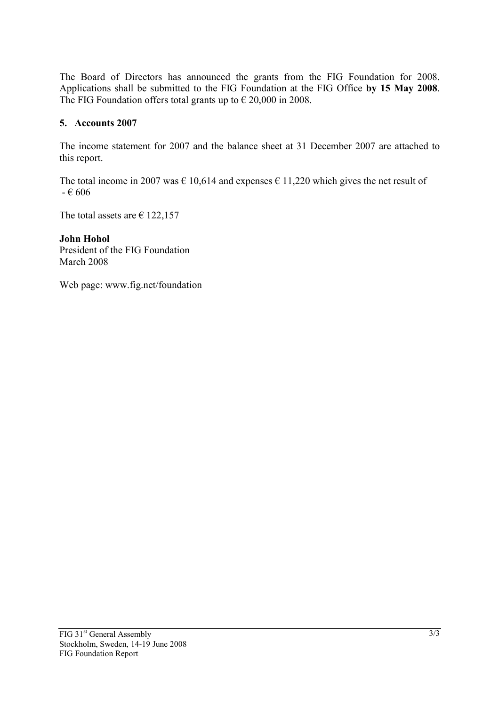The Board of Directors has announced the grants from the FIG Foundation for 2008. Applications shall be submitted to the FIG Foundation at the FIG Office **by 15 May 2008**. The FIG Foundation offers total grants up to  $\epsilon$  20,000 in 2008.

#### **5. Accounts 2007**

The income statement for 2007 and the balance sheet at 31 December 2007 are attached to this report.

The total income in 2007 was  $\epsilon$  10,614 and expenses  $\epsilon$  11,220 which gives the net result of  $- 606$ 

The total assets are  $\epsilon$  122,157

**John Hohol**  President of the FIG Foundation March 2008

Web page: www.fig.net/foundation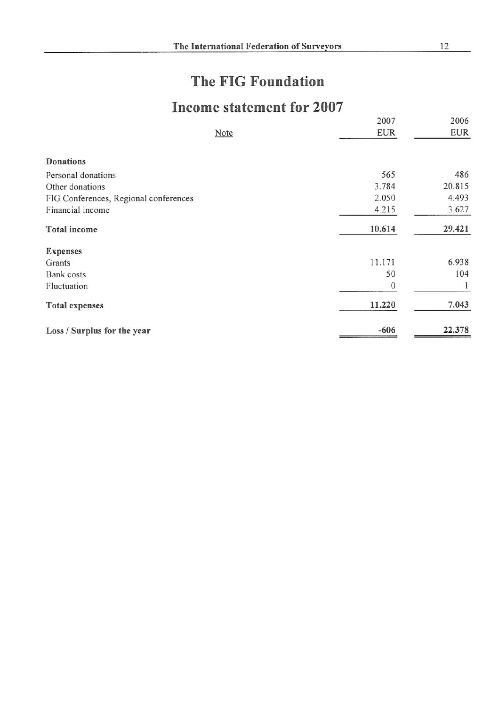# The FIG Foundation

## Income statement for 2007

|                                       | 2007       | 2006       |
|---------------------------------------|------------|------------|
| Note                                  | <b>EUR</b> | <b>EUR</b> |
| Donations                             |            |            |
| Personal donations                    | 565        | 486        |
| Other donations                       | 3.784      | 20.815     |
| FIG Conferences, Regional conferences | 2.050      | 4.493      |
| Financial income                      | 4.215      | 3.627      |
| <b>Total</b> income                   | 10.614     | 29.421     |
| <b>Expenses</b>                       |            |            |
| Grants                                | 11.171     | 6.938      |
| Bank costs                            | 50         | 104        |
| Fluctuation                           | $\Omega$   |            |
| <b>Total expenses</b>                 | 11.220     | 7.043      |
| Loss / Surplus for the year           | $-606$     | 22.378     |